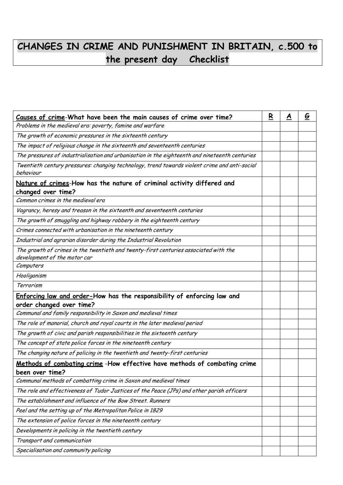## **CHANGES IN CRIME AND PUNISHMENT IN BRITAIN, c.500 to the present day Checklist**

| Causes of crime-What have been the main causes of crime over time?                                                   | R | A | <u>G</u> |
|----------------------------------------------------------------------------------------------------------------------|---|---|----------|
| Problems in the medieval era: poverty, famine and warfare                                                            |   |   |          |
| The growth of economic pressures in the sixteenth century                                                            |   |   |          |
| The impact of religious change in the sixteenth and seventeenth centuries                                            |   |   |          |
| The pressures of industrialisation and urbanisation in the eighteenth and nineteenth centuries                       |   |   |          |
| Twentieth century pressures: changing technology, trend towards violent crime and anti-social                        |   |   |          |
| behaviour                                                                                                            |   |   |          |
| Nature of crimes-How has the nature of criminal activity differed and<br>changed over time?                          |   |   |          |
| Common crimes in the medieval era                                                                                    |   |   |          |
| Vagrancy, heresy and treason in the sixteenth and seventeenth centuries                                              |   |   |          |
| The growth of smuggling and highway robbery in the eighteenth century                                                |   |   |          |
| Crimes connected with urbanisation in the nineteenth century                                                         |   |   |          |
| Industrial and agrarian disorder during the Industrial Revolution                                                    |   |   |          |
| The growth of crimes in the twentieth and twenty-first centuries associated with the<br>development of the motor car |   |   |          |
| Computers                                                                                                            |   |   |          |
| Hooliganism                                                                                                          |   |   |          |
| Terrorism                                                                                                            |   |   |          |
| Enforcing law and order-How has the responsibility of enforcing law and                                              |   |   |          |
| order changed over time?                                                                                             |   |   |          |
| Communal and family responsibility in Saxon and medieval times                                                       |   |   |          |
| The role of manorial, church and royal courts in the later medieval period                                           |   |   |          |
| The growth of civic and parish responsibilities in the sixteenth century                                             |   |   |          |
| The concept of state police forces in the nineteenth century                                                         |   |   |          |
| The changing nature of policing in the twentieth and twenty-first centuries                                          |   |   |          |
| Methods of combating crime -How effective have methods of combating crime<br>been over time?                         |   |   |          |
| Communal methods of combatting crime in Saxon and medieval times                                                     |   |   |          |
| The role and effectiveness of Tudor Justices of the Peace (JPs) and other parish officers                            |   |   |          |
| The establishment and influence of the Bow Street. Runners                                                           |   |   |          |
| Peel and the setting up of the Metropolitan Police in 1829                                                           |   |   |          |
| The extension of police forces in the nineteenth century                                                             |   |   |          |
| Developments in policing in the twentieth century                                                                    |   |   |          |
| Transport and communication                                                                                          |   |   |          |
| Specialisation and community policing                                                                                |   |   |          |